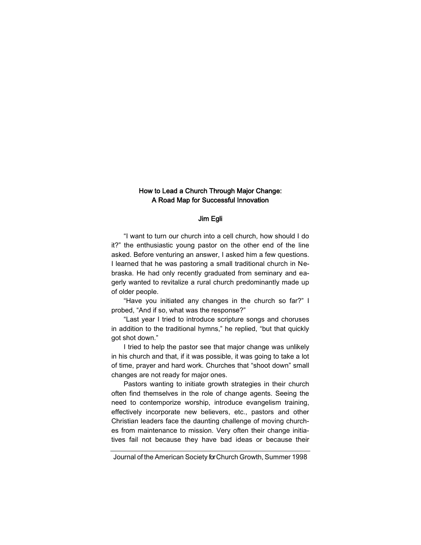# How to Lead a Church Through Major Change: A Road Map for Successful Innovation

### Jim Egli

"I want to turn our church into a cell church, how should I do it?" the enthusiastic young pastor on the other end of the line asked. Before venturing an answer, I asked him a few questions. I learned that he was pastoring a small traditional church in Nebraska. He had only recently graduated from seminary and eagerly wanted to revitalize a rural church predominantly made up of older people.

"Have you initiated any changes in the church so far?" I probed, "And if so, what was the response?"

"Last year I tried to introduce scripture songs and choruses in addition to the traditional hymns," he replied, "but that quickly got shot down."

I tried to help the pastor see that major change was unlikely in his church and that, if it was possible, it was going to take a lot of time, prayer and hard work. Churches that "shoot down" small changes are not ready for major ones.

Pastors wanting to initiate growth strategies in their church often find themselves in the role of change agents. Seeing the need to contemporize worship, introduce evangelism training, effectively incorporate new believers, etc., pastors and other Christian leaders face the daunting challenge of moving churches from maintenance to mission. Very often their change initiatives fail not because they have bad ideas or because their

Journal of the American Society for Church Growth, Summer 1998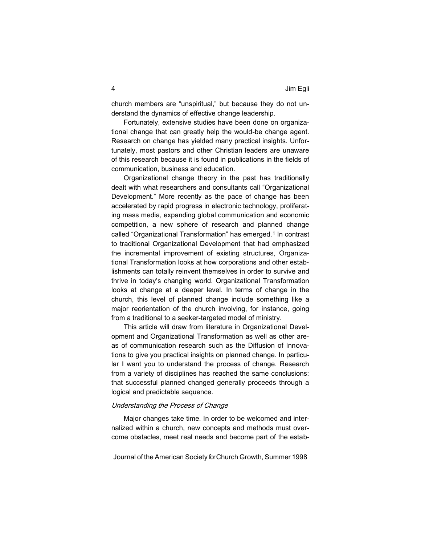church members are "unspiritual," but because they do not understand the dynamics of effective change leadership.

Fortunately, extensive studies have been done on organizational change that can greatly help the would-be change agent. Research on change has yielded many practical insights. Unfortunately, most pastors and other Christian leaders are unaware of this research because it is found in publications in the fields of communication, business and education.

Organizational change theory in the past has traditionally dealt with what researchers and consultants call "Organizational Development." More recently as the pace of change has been accelerated by rapid progress in electronic technology, proliferating mass media, expanding global communication and economic competition, a new sphere of research and planned change called "Organizational Transformation" has emerged.<sup>1</sup> In contrast to traditional Organizational Development that had emphasized the incremental improvement of existing structures, Organizational Transformation looks at how corporations and other establishments can totally reinvent themselves in order to survive and thrive in today's changing world. Organizational Transformation looks at change at a deeper level. In terms of change in the church, this level of planned change include something like a major reorientation of the church involving, for instance, going from a traditional to a seeker-targeted model of ministry.

This article will draw from literature in Organizational Development and Organizational Transformation as well as other areas of communication research such as the Diffusion of Innovations to give you practical insights on planned change. In particular I want you to understand the process of change. Research from a variety of disciplines has reached the same conclusions: that successful planned changed generally proceeds through a logical and predictable sequence.

# Understanding the Process of Change

Major changes take time. In order to be welcomed and internalized within a church, new concepts and methods must overcome obstacles, meet real needs and become part of the estab-

Journal of the American Society for Church Growth, Summer 1998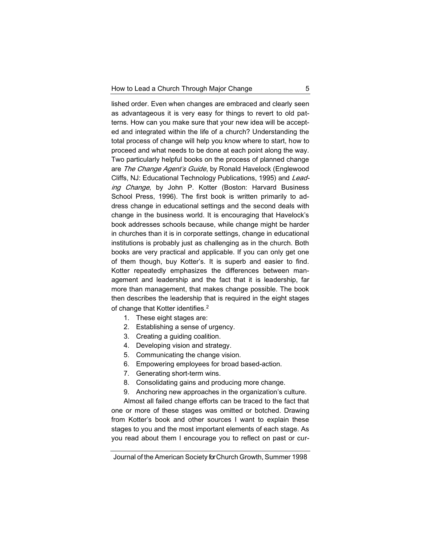lished order. Even when changes are embraced and clearly seen as advantageous it is very easy for things to revert to old patterns. How can you make sure that your new idea will be accepted and integrated within the life of a church? Understanding the total process of change will help you know where to start, how to proceed and what needs to be done at each point along the way. Two particularly helpful books on the process of planned change are The Change Agent's Guide, by Ronald Havelock (Englewood Cliffs, NJ: Educational Technology Publications, 1995) and Leading Change, by John P. Kotter (Boston: Harvard Business School Press, 1996). The first book is written primarily to address change in educational settings and the second deals with change in the business world. It is encouraging that Havelock's book addresses schools because, while change might be harder in churches than it is in corporate settings, change in educational institutions is probably just as challenging as in the church. Both books are very practical and applicable. If you can only get one of them though, buy Kotter's. It is superb and easier to find. Kotter repeatedly emphasizes the differences between management and leadership and the fact that it is leadership, far more than management, that makes change possible. The book then describes the leadership that is required in the eight stages of change that Kotter identifies.<sup>2</sup>

- 1. These eight stages are:
- 2. Establishing a sense of urgency.
- 3. Creating a guiding coalition.
- 4. Developing vision and strategy.
- 5. Communicating the change vision.
- 6. Empowering employees for broad based-action.
- 7. Generating short-term wins.
- 8. Consolidating gains and producing more change.
- 9. Anchoring new approaches in the organization's culture.

Almost all failed change efforts can be traced to the fact that one or more of these stages was omitted or botched. Drawing from Kotter's book and other sources I want to explain these stages to you and the most important elements of each stage. As you read about them I encourage you to reflect on past or cur-

Journal of the American Society for Church Growth, Summer 1998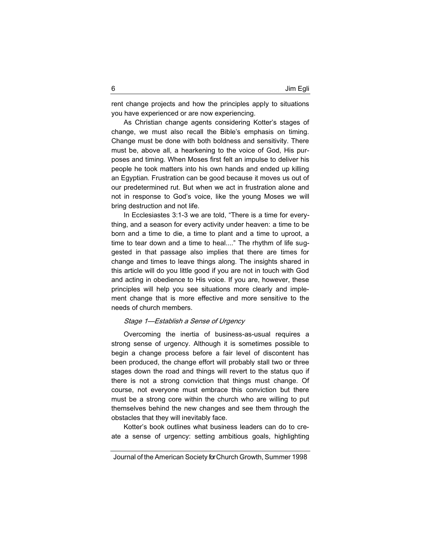rent change projects and how the principles apply to situations you have experienced or are now experiencing.

As Christian change agents considering Kotter's stages of change, we must also recall the Bible's emphasis on timing. Change must be done with both boldness and sensitivity. There must be, above all, a hearkening to the voice of God, His purposes and timing. When Moses first felt an impulse to deliver his people he took matters into his own hands and ended up killing an Egyptian. Frustration can be good because it moves us out of our predetermined rut. But when we act in frustration alone and not in response to God's voice, like the young Moses we will bring destruction and not life.

In Ecclesiastes 3:1-3 we are told, "There is a time for everything, and a season for every activity under heaven: a time to be born and a time to die, a time to plant and a time to uproot, a time to tear down and a time to heal...." The rhythm of life suggested in that passage also implies that there are times for change and times to leave things along. The insights shared in this article will do you little good if you are not in touch with God and acting in obedience to His voice. If you are, however, these principles will help you see situations more clearly and implement change that is more effective and more sensitive to the needs of church members.

### Stage 1—Establish a Sense of Urgency

Overcoming the inertia of business-as-usual requires a strong sense of urgency. Although it is sometimes possible to begin a change process before a fair level of discontent has been produced, the change effort will probably stall two or three stages down the road and things will revert to the status quo if there is not a strong conviction that things must change. Of course, not everyone must embrace this conviction but there must be a strong core within the church who are willing to put themselves behind the new changes and see them through the obstacles that they will inevitably face.

Kotter's book outlines what business leaders can do to create a sense of urgency: setting ambitious goals, highlighting

Journal of the American Society for Church Growth, Summer 1998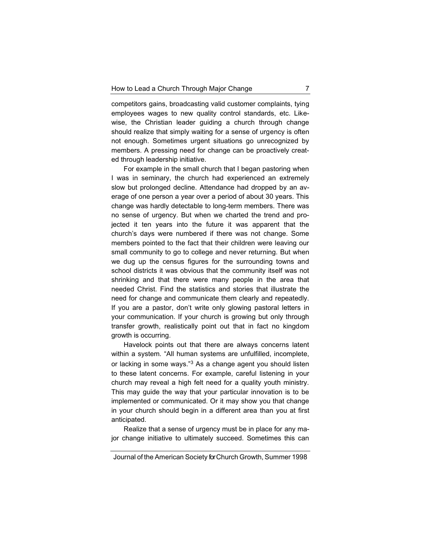competitors gains, broadcasting valid customer complaints, tying employees wages to new quality control standards, etc. Likewise, the Christian leader guiding a church through change should realize that simply waiting for a sense of urgency is often not enough. Sometimes urgent situations go unrecognized by members. A pressing need for change can be proactively created through leadership initiative.

For example in the small church that I began pastoring when I was in seminary, the church had experienced an extremely slow but prolonged decline. Attendance had dropped by an average of one person a year over a period of about 30 years. This change was hardly detectable to long-term members. There was no sense of urgency. But when we charted the trend and projected it ten years into the future it was apparent that the church's days were numbered if there was not change. Some members pointed to the fact that their children were leaving our small community to go to college and never returning. But when we dug up the census figures for the surrounding towns and school districts it was obvious that the community itself was not shrinking and that there were many people in the area that needed Christ. Find the statistics and stories that illustrate the need for change and communicate them clearly and repeatedly. If you are a pastor, don't write only glowing pastoral letters in your communication. If your church is growing but only through transfer growth, realistically point out that in fact no kingdom growth is occurring.

Havelock points out that there are always concerns latent within a system. "All human systems are unfulfilled, incomplete, or lacking in some ways."<sup>3</sup> As a change agent you should listen to these latent concerns. For example, careful listening in your church may reveal a high felt need for a quality youth ministry. This may guide the way that your particular innovation is to be implemented or communicated. Or it may show you that change in your church should begin in a different area than you at first anticipated.

Realize that a sense of urgency must be in place for any major change initiative to ultimately succeed. Sometimes this can

Journal of the American Society for Church Growth, Summer 1998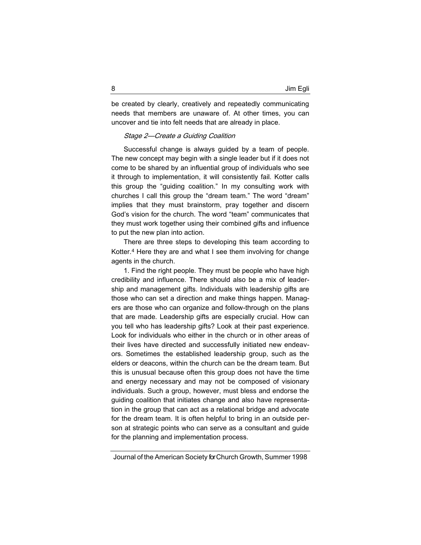be created by clearly, creatively and repeatedly communicating needs that members are unaware of. At other times, you can uncover and tie into felt needs that are already in place.

### Stage 2—Create a Guiding Coalition

Successful change is always guided by a team of people. The new concept may begin with a single leader but if it does not come to be shared by an influential group of individuals who see it through to implementation, it will consistently fail. Kotter calls this group the "guiding coalition." In my consulting work with churches I call this group the "dream team." The word "dream" implies that they must brainstorm, pray together and discern God's vision for the church. The word "team" communicates that they must work together using their combined gifts and influence to put the new plan into action.

There are three steps to developing this team according to Kotter.<sup>4</sup> Here they are and what I see them involving for change agents in the church.

1. Find the right people. They must be people who have high credibility and influence. There should also be a mix of leadership and management gifts. Individuals with leadership gifts are those who can set a direction and make things happen. Managers are those who can organize and follow-through on the plans that are made. Leadership gifts are especially crucial. How can you tell who has leadership gifts? Look at their past experience. Look for individuals who either in the church or in other areas of their lives have directed and successfully initiated new endeavors. Sometimes the established leadership group, such as the elders or deacons, within the church can be the dream team. But this is unusual because often this group does not have the time and energy necessary and may not be composed of visionary individuals. Such a group, however, must bless and endorse the guiding coalition that initiates change and also have representation in the group that can act as a relational bridge and advocate for the dream team. It is often helpful to bring in an outside person at strategic points who can serve as a consultant and guide for the planning and implementation process.

Journal of the American Society for Church Growth, Summer 1998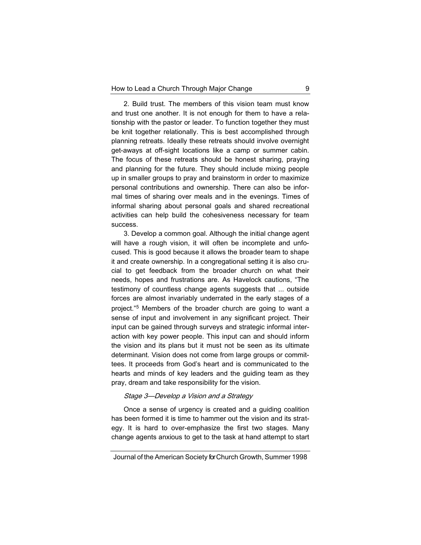2. Build trust. The members of this vision team must know and trust one another. It is not enough for them to have a relationship with the pastor or leader. To function together they must be knit together relationally. This is best accomplished through planning retreats. Ideally these retreats should involve overnight get-aways at off-sight locations like a camp or summer cabin. The focus of these retreats should be honest sharing, praying and planning for the future. They should include mixing people up in smaller groups to pray and brainstorm in order to maximize personal contributions and ownership. There can also be informal times of sharing over meals and in the evenings. Times of informal sharing about personal goals and shared recreational activities can help build the cohesiveness necessary for team success.

3. Develop a common goal. Although the initial change agent will have a rough vision, it will often be incomplete and unfocused. This is good because it allows the broader team to shape it and create ownership. In a congregational setting it is also crucial to get feedback from the broader church on what their needs, hopes and frustrations are. As Havelock cautions, "The testimony of countless change agents suggests that ... outside forces are almost invariably underrated in the early stages of a project."<sup>5</sup> Members of the broader church are going to want a sense of input and involvement in any significant project. Their input can be gained through surveys and strategic informal interaction with key power people. This input can and should inform the vision and its plans but it must not be seen as its ultimate determinant. Vision does not come from large groups or committees. It proceeds from God's heart and is communicated to the hearts and minds of key leaders and the guiding team as they pray, dream and take responsibility for the vision.

## Stage 3—Develop a Vision and a Strategy

Once a sense of urgency is created and a guiding coalition has been formed it is time to hammer out the vision and its strategy. It is hard to over-emphasize the first two stages. Many change agents anxious to get to the task at hand attempt to start

Journal of the American Society for Church Growth, Summer 1998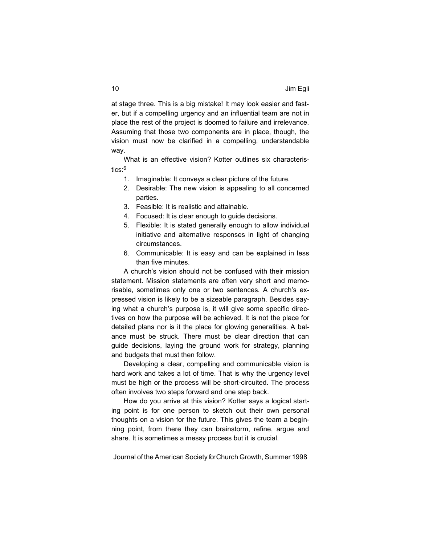at stage three. This is a big mistake! It may look easier and faster, but if a compelling urgency and an influential team are not in place the rest of the project is doomed to failure and irrelevance. Assuming that those two components are in place, though, the vision must now be clarified in a compelling, understandable way.

What is an effective vision? Kotter outlines six characteristics: $6$ 

- 1. Imaginable: It conveys a clear picture of the future.
- 2. Desirable: The new vision is appealing to all concerned parties.
- 3. Feasible: It is realistic and attainable.
- 4. Focused: It is clear enough to guide decisions.
- 5. Flexible: It is stated generally enough to allow individual initiative and alternative responses in light of changing circumstances.
- 6. Communicable: It is easy and can be explained in less than five minutes.

A church's vision should not be confused with their mission statement. Mission statements are often very short and memorisable, sometimes only one or two sentences. A church's expressed vision is likely to be a sizeable paragraph. Besides saying what a church's purpose is, it will give some specific directives on how the purpose will be achieved. It is not the place for detailed plans nor is it the place for glowing generalities. A balance must be struck. There must be clear direction that can guide decisions, laying the ground work for strategy, planning and budgets that must then follow.

Developing a clear, compelling and communicable vision is hard work and takes a lot of time. That is why the urgency level must be high or the process will be short-circuited. The process often involves two steps forward and one step back.

How do you arrive at this vision? Kotter says a logical starting point is for one person to sketch out their own personal thoughts on a vision for the future. This gives the team a beginning point, from there they can brainstorm, refine, argue and share. It is sometimes a messy process but it is crucial.

Journal of the American Society for Church Growth, Summer 1998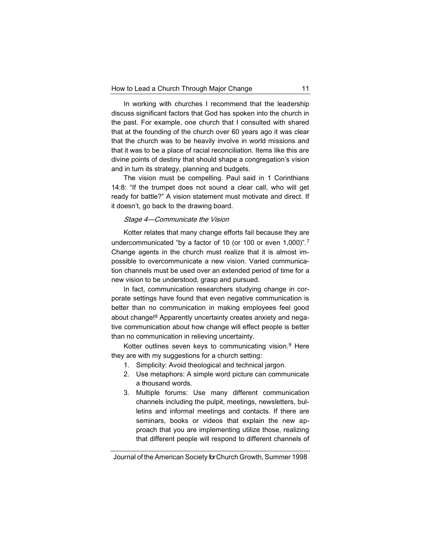In working with churches I recommend that the leadership discuss significant factors that God has spoken into the church in the past. For example, one church that I consulted with shared that at the founding of the church over 60 years ago it was clear that the church was to be heavily involve in world missions and that it was to be a place of racial reconciliation. Items like this are divine points of destiny that should shape a congregation's vision and in turn its strategy, planning and budgets.

The vision must be compelling. Paul said in 1 Corinthians 14:8: "If the trumpet does not sound a clear call, who will get ready for battle?" A vision statement must motivate and direct. If it doesn't, go back to the drawing board.

#### Stage 4—Communicate the Vision

Kotter relates that many change efforts fail because they are undercommunicated "by a factor of 10 (or 100 or even 1,000)".<sup>7</sup> Change agents in the church must realize that it is almost impossible to overcommunicate a new vision. Varied communication channels must be used over an extended period of time for a new vision to be understood, grasp and pursued.

In fact, communication researchers studying change in corporate settings have found that even negative communication is better than no communication in making employees feel good about change!<sup>8</sup> Apparently uncertainty creates anxiety and negative communication about how change will effect people is better than no communication in relieving uncertainty.

Kotter outlines seven keys to communicating vision.<sup>9</sup> Here they are with my suggestions for a church setting:

- 1. Simplicity: Avoid theological and technical jargon.
- 2. Use metaphors: A simple word picture can communicate a thousand words.
- 3. Multiple forums: Use many different communication channels including the pulpit, meetings, newsletters, bulletins and informal meetings and contacts. If there are seminars, books or videos that explain the new approach that you are implementing utilize those, realizing that different people will respond to different channels of

Journal of the American Society for Church Growth, Summer 1998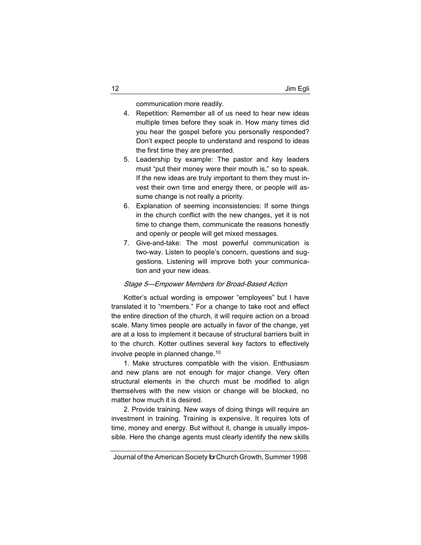communication more readily.

- 4. Repetition: Remember all of us need to hear new ideas multiple times before they soak in. How many times did you hear the gospel before you personally responded? Don't expect people to understand and respond to ideas the first time they are presented.
- 5. Leadership by example: The pastor and key leaders must "put their money were their mouth is," so to speak. If the new ideas are truly important to them they must invest their own time and energy there, or people will assume change is not really a priority.
- 6. Explanation of seeming inconsistencies: If some things in the church conflict with the new changes, yet it is not time to change them, communicate the reasons honestly and openly or people will get mixed messages.
- 7. Give-and-take: The most powerful communication is two-way. Listen to people's concern, questions and suggestions. Listening will improve both your communication and your new ideas.

## Stage 5—Empower Members for Broad-Based Action

Kotter's actual wording is empower "employees" but I have translated it to "members." For a change to take root and effect the entire direction of the church, it will require action on a broad scale. Many times people are actually in favor of the change, yet are at a loss to implement it because of structural barriers built in to the church. Kotter outlines several key factors to effectively involve people in planned change.<sup>10</sup>

1. Make structures compatible with the vision. Enthusiasm and new plans are not enough for major change. Very often structural elements in the church must be modified to align themselves with the new vision or change will be blocked, no matter how much it is desired.

2. Provide training. New ways of doing things will require an investment in training. Training is expensive. It requires lots of time, money and energy. But without it, change is usually impossible. Here the change agents must clearly identify the new skills

Journal of the American Society for Church Growth, Summer 1998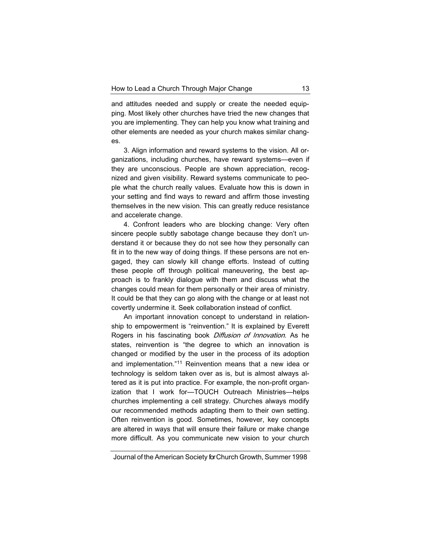and attitudes needed and supply or create the needed equipping. Most likely other churches have tried the new changes that you are implementing. They can help you know what training and other elements are needed as your church makes similar changes.

3. Align information and reward systems to the vision. All organizations, including churches, have reward systems—even if they are unconscious. People are shown appreciation, recognized and given visibility. Reward systems communicate to people what the church really values. Evaluate how this is down in your setting and find ways to reward and affirm those investing themselves in the new vision. This can greatly reduce resistance and accelerate change.

4. Confront leaders who are blocking change: Very often sincere people subtly sabotage change because they don't understand it or because they do not see how they personally can fit in to the new way of doing things. If these persons are not engaged, they can slowly kill change efforts. Instead of cutting these people off through political maneuvering, the best approach is to frankly dialogue with them and discuss what the changes could mean for them personally or their area of ministry. It could be that they can go along with the change or at least not covertly undermine it. Seek collaboration instead of conflict.

An important innovation concept to understand in relationship to empowerment is "reinvention." It is explained by Everett Rogers in his fascinating book *Diffusion of Innovation*. As he states, reinvention is "the degree to which an innovation is changed or modified by the user in the process of its adoption and implementation."<sup>11</sup> Reinvention means that a new idea or technology is seldom taken over as is, but is almost always altered as it is put into practice. For example, the non-profit organization that I work for—TOUCH Outreach Ministries—helps churches implementing a cell strategy. Churches always modify our recommended methods adapting them to their own setting. Often reinvention is good. Sometimes, however, key concepts are altered in ways that will ensure their failure or make change more difficult. As you communicate new vision to your church

Journal of the American Society for Church Growth, Summer 1998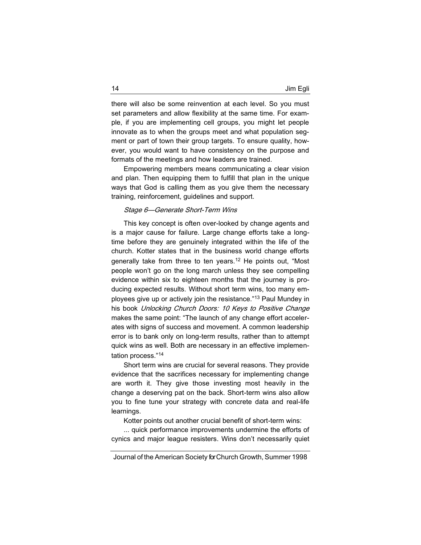there will also be some reinvention at each level. So you must set parameters and allow flexibility at the same time. For example, if you are implementing cell groups, you might let people innovate as to when the groups meet and what population segment or part of town their group targets. To ensure quality, however, you would want to have consistency on the purpose and formats of the meetings and how leaders are trained.

Empowering members means communicating a clear vision and plan. Then equipping them to fulfill that plan in the unique ways that God is calling them as you give them the necessary training, reinforcement, guidelines and support.

#### Stage 6—Generate Short-Term Wins

This key concept is often over-looked by change agents and is a major cause for failure. Large change efforts take a longtime before they are genuinely integrated within the life of the church. Kotter states that in the business world change efforts generally take from three to ten years.<sup>12</sup> He points out, "Most people won't go on the long march unless they see compelling evidence within six to eighteen months that the journey is producing expected results. Without short term wins, too many employees give up or actively join the resistance."<sup>13</sup> Paul Mundey in his book Unlocking Church Doors: 10 Keys to Positive Change makes the same point: "The launch of any change effort accelerates with signs of success and movement. A common leadership error is to bank only on long-term results, rather than to attempt quick wins as well. Both are necessary in an effective implementation process."<sup>14</sup>

Short term wins are crucial for several reasons. They provide evidence that the sacrifices necessary for implementing change are worth it. They give those investing most heavily in the change a deserving pat on the back. Short-term wins also allow you to fine tune your strategy with concrete data and real-life learnings.

Kotter points out another crucial benefit of short-term wins:

... quick performance improvements undermine the efforts of cynics and major league resisters. Wins don't necessarily quiet

Journal of the American Society for Church Growth, Summer 1998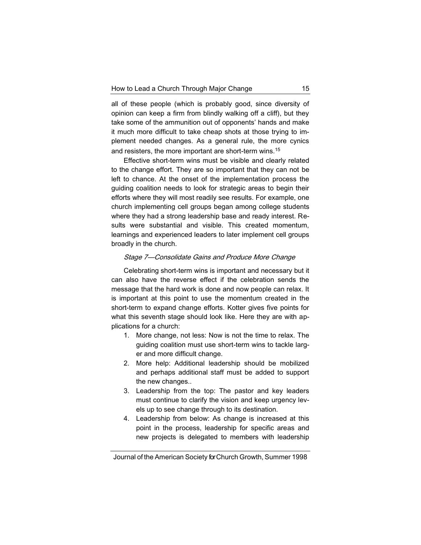all of these people (which is probably good, since diversity of opinion can keep a firm from blindly walking off a cliff), but they take some of the ammunition out of opponents' hands and make it much more difficult to take cheap shots at those trying to implement needed changes. As a general rule, the more cynics and resisters, the more important are short-term wins.<sup>15</sup>

Effective short-term wins must be visible and clearly related to the change effort. They are so important that they can not be left to chance. At the onset of the implementation process the guiding coalition needs to look for strategic areas to begin their efforts where they will most readily see results. For example, one church implementing cell groups began among college students where they had a strong leadership base and ready interest. Results were substantial and visible. This created momentum, learnings and experienced leaders to later implement cell groups broadly in the church.

# Stage 7—Consolidate Gains and Produce More Change

Celebrating short-term wins is important and necessary but it can also have the reverse effect if the celebration sends the message that the hard work is done and now people can relax. It is important at this point to use the momentum created in the short-term to expand change efforts. Kotter gives five points for what this seventh stage should look like. Here they are with applications for a church:

- 1. More change, not less: Now is not the time to relax. The guiding coalition must use short-term wins to tackle larger and more difficult change.
- 2. More help: Additional leadership should be mobilized and perhaps additional staff must be added to support the new changes..
- 3. Leadership from the top: The pastor and key leaders must continue to clarify the vision and keep urgency levels up to see change through to its destination.
- 4. Leadership from below: As change is increased at this point in the process, leadership for specific areas and new projects is delegated to members with leadership

Journal of the American Society for Church Growth, Summer 1998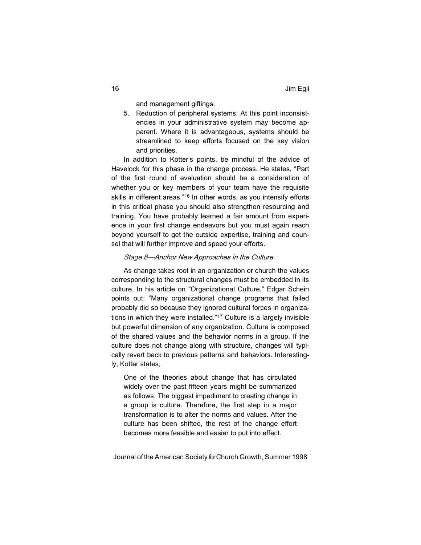and management giftings.

5. Reduction of peripheral systems: At this point inconsistencies in your administrative system may become apparent. Where it is advantageous, systems should be streamlined to keep efforts focused on the key vision and priorities.

In addition to Kotter's points, be mindful of the advice of Havelock for this phase in the change process. He states, "Part of the first round of evaluation should be a consideration of whether you or key members of your team have the requisite skills in different areas."<sup>16</sup> In other words, as you intensify efforts in this critical phase you should also strengthen resourcing and training. You have probably learned a fair amount from experience in your first change endeavors but you must again reach beyond yourself to get the outside expertise, training and counsel that will further improve and speed your efforts.

# Stage 8—Anchor New Approaches in the Culture

As change takes root in an organization or church the values corresponding to the structural changes must be embedded in its culture. In his article on "Organizational Culture," Edgar Schein points out: "Many organizational change programs that failed probably did so because they ignored cultural forces in organizations in which they were installed."<sup>17</sup> Culture is a largely invisible but powerful dimension of any organization. Culture is composed of the shared values and the behavior norms in a group. If the culture does not change along with structure, changes will typically revert back to previous patterns and behaviors. Interestingly, Kotter states,

One of the theories about change that has circulated widely over the past fifteen years might be summarized as follows: The biggest impediment to creating change in a group is culture. Therefore, the first step in a major transformation is to alter the norms and values. After the culture has been shifted, the rest of the change effort becomes more feasible and easier to put into effect.

Journal of the American Society for Church Growth, Summer 1998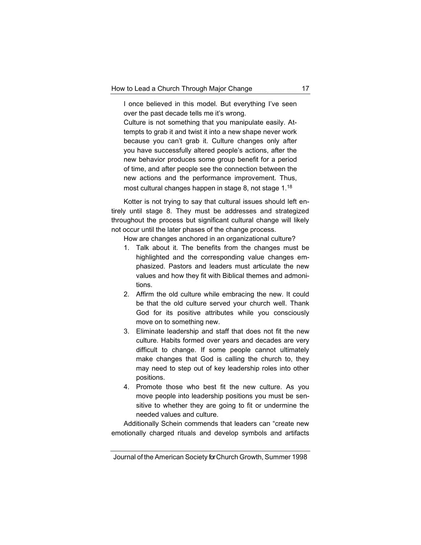I once believed in this model. But everything I've seen over the past decade tells me it's wrong.

Culture is not something that you manipulate easily. Attempts to grab it and twist it into a new shape never work because you can't grab it. Culture changes only after you have successfully altered people's actions, after the new behavior produces some group benefit for a period of time, and after people see the connection between the new actions and the performance improvement. Thus, most cultural changes happen in stage 8, not stage 1.<sup>18</sup>

Kotter is not trying to say that cultural issues should left entirely until stage 8. They must be addresses and strategized throughout the process but significant cultural change will likely not occur until the later phases of the change process.

How are changes anchored in an organizational culture?

- 1. Talk about it. The benefits from the changes must be highlighted and the corresponding value changes emphasized. Pastors and leaders must articulate the new values and how they fit with Biblical themes and admonitions.
- 2. Affirm the old culture while embracing the new. It could be that the old culture served your church well. Thank God for its positive attributes while you consciously move on to something new.
- 3. Eliminate leadership and staff that does not fit the new culture. Habits formed over years and decades are very difficult to change. If some people cannot ultimately make changes that God is calling the church to, they may need to step out of key leadership roles into other positions.
- 4. Promote those who best fit the new culture. As you move people into leadership positions you must be sensitive to whether they are going to fit or undermine the needed values and culture.

Additionally Schein commends that leaders can "create new emotionally charged rituals and develop symbols and artifacts

Journal of the American Society for Church Growth, Summer 1998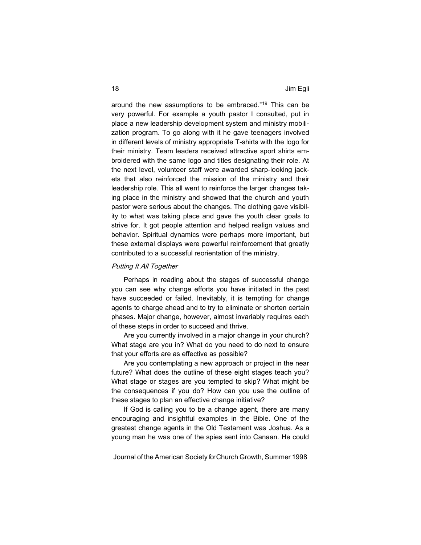around the new assumptions to be embraced."<sup>19</sup> This can be very powerful. For example a youth pastor I consulted, put in place a new leadership development system and ministry mobilization program. To go along with it he gave teenagers involved in different levels of ministry appropriate T-shirts with the logo for their ministry. Team leaders received attractive sport shirts embroidered with the same logo and titles designating their role. At the next level, volunteer staff were awarded sharp-looking jackets that also reinforced the mission of the ministry and their leadership role. This all went to reinforce the larger changes taking place in the ministry and showed that the church and youth pastor were serious about the changes. The clothing gave visibility to what was taking place and gave the youth clear goals to strive for. It got people attention and helped realign values and behavior. Spiritual dynamics were perhaps more important, but these external displays were powerful reinforcement that greatly contributed to a successful reorientation of the ministry.

### Putting It All Together

Perhaps in reading about the stages of successful change you can see why change efforts you have initiated in the past have succeeded or failed. Inevitably, it is tempting for change agents to charge ahead and to try to eliminate or shorten certain phases. Major change, however, almost invariably requires each of these steps in order to succeed and thrive.

Are you currently involved in a major change in your church? What stage are you in? What do you need to do next to ensure that your efforts are as effective as possible?

Are you contemplating a new approach or project in the near future? What does the outline of these eight stages teach you? What stage or stages are you tempted to skip? What might be the consequences if you do? How can you use the outline of these stages to plan an effective change initiative?

If God is calling you to be a change agent, there are many encouraging and insightful examples in the Bible. One of the greatest change agents in the Old Testament was Joshua. As a young man he was one of the spies sent into Canaan. He could

Journal of the American Society for Church Growth, Summer 1998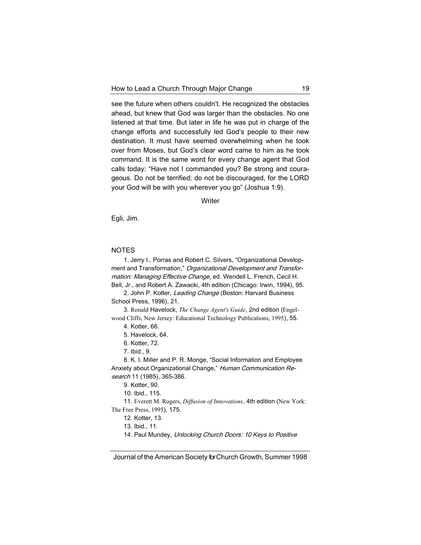see the future when others couldn't. He recognized the obstacles ahead, but knew that God was larger than the obstacles. No one listened at that time. But later in life he was put in charge of the change efforts and successfully led God's people to their new destination. It must have seemed overwhelming when he took over from Moses, but God's clear word came to him as he took command. It is the same word for every change agent that God calls today: "Have not I commanded you? Be strong and courageous. Do not be terrified; do not be discouraged, for the LORD your God will be with you wherever you go" (Joshua 1:9).

**Writer** 

Egli, Jim.

# NOTES

1. Jerry I., Porras and Robert C. Silvers, "Organizational Development and Transformation," Organizational Development and Transformation: Managing Effective Change, ed. Wendell L. French, Cecil H. Bell, Jr., and Robert A. Zawacki, 4th edition (Chicago: Irwin, 1994), 95.

2. John P. Kotter, Leading Change (Boston: Harvard Business School Press, 1996), 21.

3. Ronald Havelock, *The Change Agent's Guide*, 2nd edition (Engelwood Cliffs, New Jersey: Educational Technology Publications, 1995), 55.

## 4. Kotter, 66.

5. Havelock, 64.

6. Kotter, 72.

7. Ibid., 9.

8. K. I. Miller and P. R. Monge, "Social Information and Employee Anxiety about Organizational Change," Human Communication Research 11 (1985), 365-386.

9. Kotter, 90.

10. Ibid., 115.

11. Everett M. Rogers, *Diffusion of Innovations*, 4th edition (New York: The Free Press, 1995), 175.

12. Kotter, 13.

14. Paul Mundey, Unlocking Church Doors: 10 Keys to Positive

Journal of the American Society for Church Growth, Summer 1998

<sup>13.</sup> Ibid., 11.